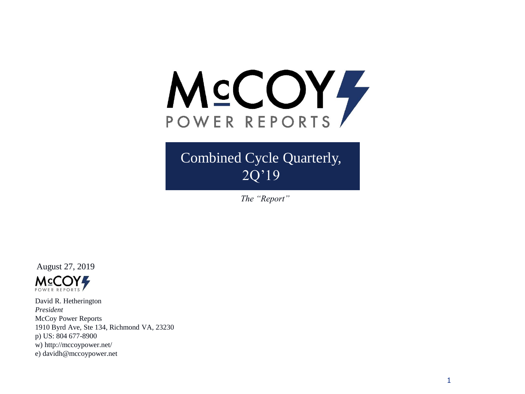

## Combined Cycle Quarterly,  $\overline{2Q'19}$

*The "Report"*

August 27, 2019



David R. Hetherington *President* McCoy Power Reports 1910 Byrd Ave, Ste 134, Richmond VA, 23230 p) US: 804 677-8900 w) http://mccoypower.net/ e) davidh@mccoypower.net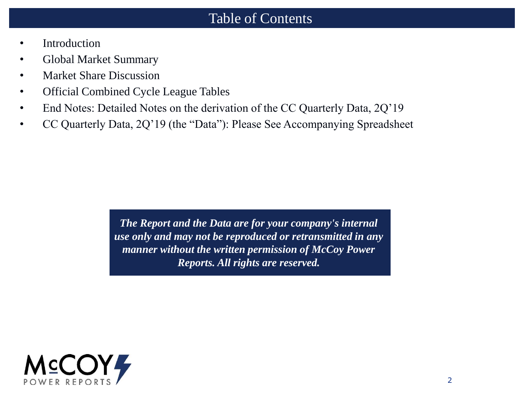#### Table of Contents

- **Introduction**
- Global Market Summary
- Market Share Discussion
- Official Combined Cycle League Tables
- End Notes: Detailed Notes on the derivation of the CC Quarterly Data, 2Q'19
- CC Quarterly Data, 2Q'19 (the "Data"): Please See Accompanying Spreadsheet

*The Report and the Data are for your company's internal use only and may not be reproduced or retransmitted in any manner without the written permission of McCoy Power Reports. All rights are reserved.*

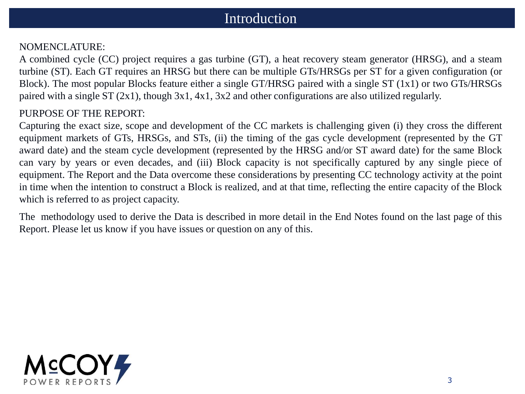### Introduction

#### NOMENCLATURE:

A combined cycle (CC) project requires a gas turbine (GT), a heat recovery steam generator (HRSG), and a steam turbine (ST). Each GT requires an HRSG but there can be multiple GTs/HRSGs per ST for a given configuration (or Block). The most popular Blocks feature either a single GT/HRSG paired with a single ST (1x1) or two GTs/HRSGs paired with a single ST (2x1), though 3x1, 4x1, 3x2 and other configurations are also utilized regularly.

#### PURPOSE OF THE REPORT:

Capturing the exact size, scope and development of the CC markets is challenging given (i) they cross the different equipment markets of GTs, HRSGs, and STs, (ii) the timing of the gas cycle development (represented by the GT award date) and the steam cycle development (represented by the HRSG and/or ST award date) for the same Block can vary by years or even decades, and (iii) Block capacity is not specifically captured by any single piece of equipment. The Report and the Data overcome these considerations by presenting CC technology activity at the point in time when the intention to construct a Block is realized, and at that time, reflecting the entire capacity of the Block which is referred to as project capacity.

The methodology used to derive the Data is described in more detail in the End Notes found on the last page of this Report. Please let us know if you have issues or question on any of this.

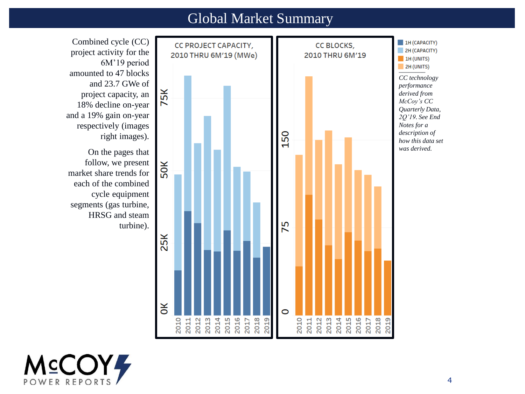#### Global Market Summary

Combined cycle (CC)  $\blacksquare$  1H (CAPACITY) CC PROJECT CAPACITY, CC BLOCKS, 2H (CAPACITY) 2010 THRU 6M'19 (MWe) 2010 THRU 6M'19  $\blacksquare$  1H (UNITS) 6M'19 period **2H** (UNITS) *CC technology performance*  75K *derived from McCoy's CC Quarterly Data, 2Q'19. See End Notes for a*  150 *description of*  right images). *how this data set was derived.* 50K market share trends for each of the combined cycle equipment segments (gas turbine, HRSG and steam 75 turbine). 25K  $\mathsf{R}$  $\circ$ **THR PRESENT**<br>**RR PRESENTED** 2014<br>2015<br>2017<br>2017<br>2019  $2019$ 2011 2012



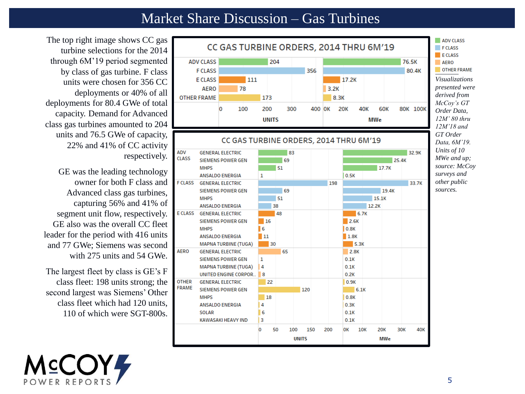### Market Share Discussion – Gas Turbines

The top right image shows CC gas turbine selections for the 2014 through 6M'19 period segmented by class of gas turbine. F class units were chosen for 356 CC deployments or 40% of all deployments for 80.4 GWe of total capacity. Demand for Advanced class gas turbines amounted to 204 units and 76.5 GWe of capacity, 22% and 41% of CC activity respectively.

GE was the leading technology owner for both F class and Advanced class gas turbines, capturing 56% and 41% of segment unit flow, respectively. GE also was the overall CC fleet leader for the period with 416 units and 77 GWe; Siemens was second with 275 units and 54 GWe.

The largest fleet by class is GE's F class fleet: 198 units strong; the second largest was Siemens' Other class fleet which had 120 units, 110 of which were SGT-800s.



*\_\_\_\_\_\_\_ Visualizations presented were derived from McCoy's GT Order Data, 12M' 80 thru 12M'18 and GT Order Data, 6M'19. Units of 10 MWe and up; source: McCoy surveys and other public sources.* 

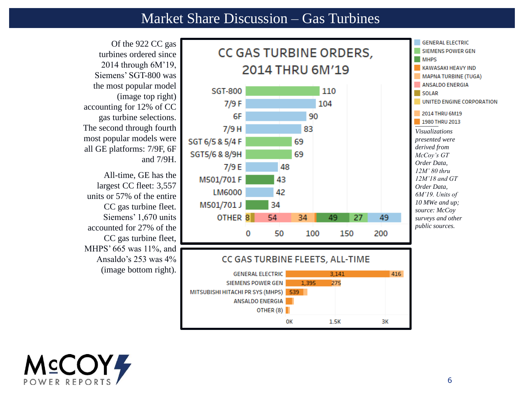#### Market Share Discussion – Gas Turbines



turbines ordered since 2014 through 6M'19, Siemens' SGT-800 was the most popular model (image top right) accounting for 12% of CC gas turbine selections. The second through fourth most popular models were all GE platforms: 7/9F, 6F

All-time, GE has the largest CC fleet: 3,557 units or 57% of the entire CC gas turbine fleet. Siemens' 1,670 units accounted for 27% of the CC gas turbine fleet, MHPS' 665 was 11%, and Ansaldo's 253 was 4% (image bottom right).

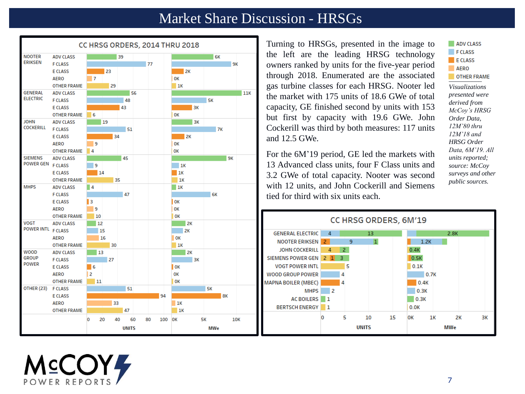#### Market Share Discussion - HRSGs



**MCCOY4** 

Turning to HRSGs, presented in the image to the left are the leading HRSG technology owners ranked by units for the five-year period through 2018. Enumerated are the associated gas turbine classes for each HRSG. Nooter led the market with 175 units of 18.6 GWe of total capacity, GE finished second by units with 153 but first by capacity with 19.6 GWe. John Cockerill was third by both measures: 117 units and 12.5 GWe.

For the 6M'19 period, GE led the markets with 13 Advanced class units, four F Class units and 3.2 GWe of total capacity. Nooter was second with 12 units, and John Cockerill and Siemens tied for third with six units each.



ADV CLASS

*12M'80 thru 12M'18 and HRSG Order Data, 6M'19. All units reported; source: McCoy surveys and other public sources.*

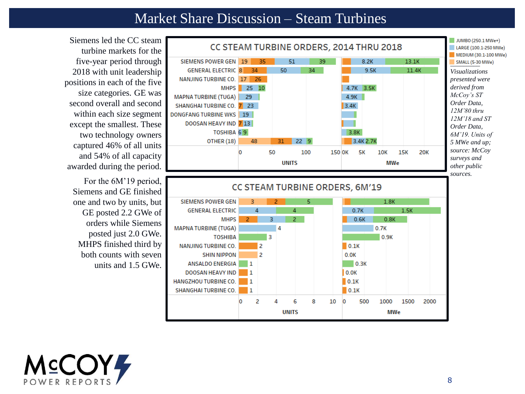#### Market Share Discussion – Steam Turbines



Siemens led the CC steam turbine markets for the five-year period through 2018 with unit leadership positions in each of the five size categories. GE was second overall and second within each size segment except the smallest. These two technology owners captured 46% of all units and 54% of all capacity awarded during the period.

For the 6M'19 period, Siemens and GE finished one and two by units, but GE posted 2.2 GWe of orders while Siemens posted just 2.0 GWe. MHPS finished third by both counts with seven units and 1.5 GWe.

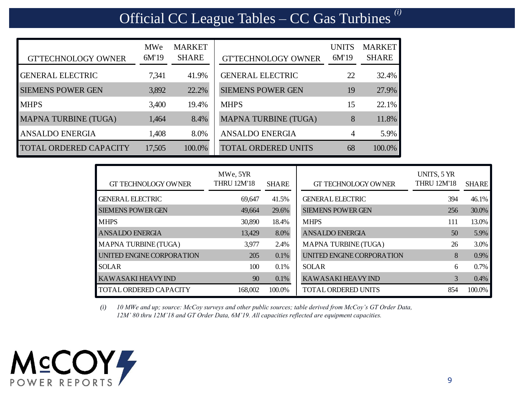# Official CC League Tables – CC Gas Turbines *(i)*

| <b>GTTECHNOLOGY OWNER</b>     | MWe<br>6M'19 | <b>MARKET</b><br><b>SHARE</b> | <b>GTTECHNOLOGY OWNER</b>   | <b>UNITS</b><br>6M'19 | <b>MARKET</b><br><b>SHARE</b> |
|-------------------------------|--------------|-------------------------------|-----------------------------|-----------------------|-------------------------------|
| <b>GENERAL ELECTRIC</b>       | 7,341        | 41.9%                         | <b>GENERAL ELECTRIC</b>     | 22                    | 32.4%                         |
| <b>SIEMENS POWER GEN</b>      | 3,892        | 22.2%                         | <b>SIEMENS POWER GEN</b>    | 19                    | 27.9%                         |
| <b>MHPS</b>                   | 3,400        | 19.4%                         | <b>MHPS</b>                 | 15                    | 22.1%                         |
| <b>MAPNA TURBINE (TUGA)</b>   | 1,464        | 8.4%                          | <b>MAPNA TURBINE (TUGA)</b> | 8                     | 11.8%                         |
| <b>ANSALDO ENERGIA</b>        | 1,408        | 8.0%                          | <b>ANSALDO ENERGIA</b>      | $\overline{4}$        | 5.9%                          |
| <b>TOTAL ORDERED CAPACITY</b> | 17,505       | 100.0%                        | <b>TOTAL ORDERED UNITS</b>  | 68                    | 100.0%                        |

| <b>GT TECHNOLOGY OWNER</b> | MWe, 5YR<br><b>THRU 12M'18</b> | <b>SHARE</b> | <b>GT TECHNOLOGY OWNER</b> | UNITS, 5 YR<br><b>THRU 12M'18</b> | <b>SHARE</b> |
|----------------------------|--------------------------------|--------------|----------------------------|-----------------------------------|--------------|
| <b>GENERAL ELECTRIC</b>    | 69.647                         | 41.5%        | <b>GENERAL ELECTRIC</b>    | 394                               | 46.1%        |
| <b>SIEMENS POWER GEN</b>   | 49,664                         | 29.6%        | <b>SIEMENS POWER GEN</b>   | 256                               | 30.0%        |
| <b>MHPS</b>                | 30,890                         | 18.4%        | <b>MHPS</b>                | 111                               | 13.0%        |
| <b>ANSALDO ENERGIA</b>     | 13.429                         | 8.0%         | <b>ANSALDO ENERGIA</b>     | 50                                | 5.9%         |
| MAPNA TURBINE (TUGA)       | 3.977                          | 2.4%         | MAPNA TURBINE (TUGA)       | 26                                | 3.0%         |
| UNITED ENGINE CORPORATION  | 205                            | $0.1\%$      | UNITED ENGINE CORPORATION  | 8                                 | $0.9\%$      |
| <b>SOLAR</b>               | 100                            | 0.1%         | <b>SOLAR</b>               | 6                                 | $0.7\%$      |
| <b>KAWASAKI HEAVY IND</b>  | 90                             | $0.1\%$      | <b>KAWASAKI HEAVY IND</b>  | 3                                 | 0.4%         |
| TOTAL ORDERED CAPACITY     | 168,002                        | 100.0%       | <b>TOTAL ORDERED UNITS</b> | 854                               | 100.0%       |

*(i) 10 MWe and up; source: McCoy surveys and other public sources; table derived from McCoy's GT Order Data, 12M' 80 thru 12M'18 and GT Order Data, 6M'19. All capacities reflected are equipment capacities.* 

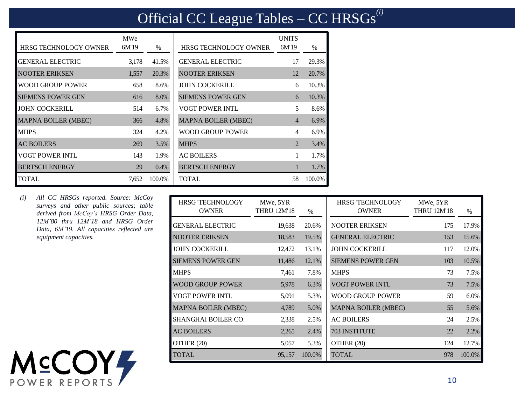## Official CC League Tables – CC HRSGs*(i)*

| <b>HRSG TECHNOLOGY OWNER</b> | <b>MWe</b><br>6M'19 | $\%$   | <b>HRSG TECHNOLOGY OWNER</b> | <b>UNITS</b><br>6M'19 | $\frac{0}{0}$ |
|------------------------------|---------------------|--------|------------------------------|-----------------------|---------------|
| <b>GENERAL ELECTRIC</b>      | 3.178               | 41.5%  | <b>GENERAL ELECTRIC</b>      | 17                    | 29.3%         |
| NOOTER ERIKSEN               | 1.557               | 20.3%  | <b>NOOTER ERIKSEN</b>        | 12                    | 20.7%         |
| <b>WOOD GROUP POWER</b>      | 658                 | 8.6%   | JOHN COCKERILL               | 6                     | 10.3%         |
| <b>SIEMENS POWER GEN</b>     | 616                 | 8.0%   | <b>SIEMENS POWER GEN</b>     | 6                     | 10.3%         |
| <b>JOHN COCKERILL</b>        | 514                 | 6.7%   | <b>VOGT POWER INTL</b>       | 5                     | 8.6%          |
| <b>MAPNA BOILER (MBEC)</b>   | 366                 | 4.8%   | <b>MAPNA BOILER (MBEC)</b>   | 4                     | 6.9%          |
| <b>MHPS</b>                  | 324                 | 4.2%   | WOOD GROUP POWER             | $\overline{4}$        | 6.9%          |
| <b>AC BOILERS</b>            | 269                 | 3.5%   | <b>MHPS</b>                  | $\mathfrak{D}$        | 3.4%          |
| <b>VOGT POWER INTL</b>       | 143                 | 1.9%   | <b>AC BOILERS</b>            | 1                     | 1.7%          |
| <b>BERTSCH ENERGY</b>        | 29                  | 0.4%   | <b>BERTSCH ENERGY</b>        |                       | 1.7%          |
| <b>TOTAL</b>                 | 7,652               | 100.0% | <b>TOTAL</b>                 | 58                    | 100.0%        |

*(i) All CC HRSGs reported. Source: McCoy surveys and other public sources; table derived from McCoy's HRSG Order Data, 12M'80 thru 12M'18 and HRSG Order Data, 6M'19. All capacities reflected are equipment capacities.*



| <b>HRSG TECHNOLOGY</b><br><b>OWNER</b> | MWe, 5YR<br>THRU 12M'18 | $\%$   | <b>HRSG TECHNOLOGY</b><br><b>OWNER</b> | MWe, 5YR<br><b>THRU 12M'18</b> | $\%$   |
|----------------------------------------|-------------------------|--------|----------------------------------------|--------------------------------|--------|
| <b>GENERAL ELECTRIC</b>                | 19,638                  | 20.6%  | <b>NOOTER ERIKSEN</b>                  | 175                            | 17.9%  |
| <b>NOOTER ERIKSEN</b>                  | 18,583                  | 19.5%  | <b>GENERAL ELECTRIC</b>                | 153                            | 15.6%  |
| <b>JOHN COCKERILL</b>                  | 12,472                  | 13.1%  | <b>JOHN COCKERILL</b>                  | 117                            | 12.0%  |
| <b>SIEMENS POWER GEN</b>               | 11,486                  | 12.1%  | <b>SIEMENS POWER GEN</b>               | 103                            | 10.5%  |
| <b>MHPS</b>                            | 7,461                   | 7.8%   | <b>MHPS</b>                            | 73                             | 7.5%   |
| <b>WOOD GROUP POWER</b>                | 5,978                   | 6.3%   | <b>VOGT POWER INTL</b>                 | 73                             | 7.5%   |
| VOGT POWER INTL                        | 5,091                   | 5.3%   | WOOD GROUP POWER                       | 59                             | 6.0%   |
| <b>MAPNA BOILER (MBEC)</b>             | 4,789                   | 5.0%   | <b>MAPNA BOILER (MBEC)</b>             | 55                             | 5.6%   |
| SHANGHAI BOILER CO.                    | 2,338                   | 2.5%   | <b>AC BOILERS</b>                      | 24                             | 2.5%   |
| <b>AC BOILERS</b>                      | 2,265                   | 2.4%   | 703 INSTITUTE                          | 22                             | 2.2%   |
| OTHER (20)                             | 5,057                   | 5.3%   | OTHER (20)                             | 124                            | 12.7%  |
| <b>TOTAL</b>                           | 95,157                  | 100.0% | <b>TOTAL</b>                           | 978                            | 100.0% |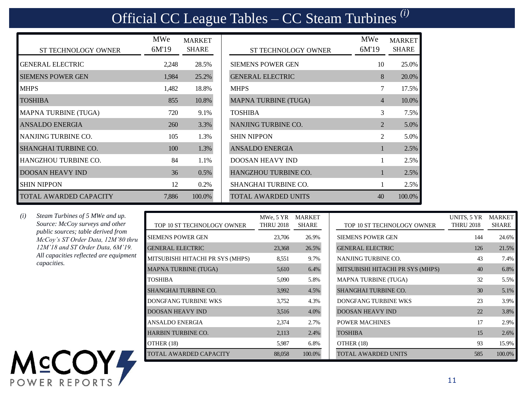## Official CC League Tables – CC Steam Turbines *(i)*

| <b>ST TECHNOLOGY OWNER</b>    | <b>MWe</b><br>6M'19 | <b>MARKET</b><br><b>SHARE</b> | <b>ST TECHNOLOGY OWNER</b>  | <b>MWe</b><br>6M'19 | <b>MARKET</b><br><b>SHARE</b> |
|-------------------------------|---------------------|-------------------------------|-----------------------------|---------------------|-------------------------------|
| <b>GENERAL ELECTRIC</b>       | 2.248               | 28.5%                         | <b>SIEMENS POWER GEN</b>    | 10                  | 25.0%                         |
| <b>SIEMENS POWER GEN</b>      | 1,984               | 25.2%                         | <b>GENERAL ELECTRIC</b>     | 8                   | 20.0%                         |
| <b>MHPS</b>                   | 1,482               | 18.8%                         | <b>MHPS</b>                 | $7\overline{ }$     | 17.5%                         |
| <b>TOSHIBA</b>                | 855                 | 10.8%                         | <b>MAPNA TURBINE (TUGA)</b> | $\overline{4}$      | 10.0%                         |
| MAPNA TURBINE (TUGA)          | 720                 | 9.1%                          | <b>TOSHIBA</b>              | 3                   | 7.5%                          |
| <b>ANSALDO ENERGIA</b>        | <b>260</b>          | 3.3%                          | NANJING TURBINE CO.         | 2                   | 5.0%                          |
| NANJING TURBINE CO.           | 105                 | 1.3%                          | <b>SHIN NIPPON</b>          | $\mathfrak{D}$      | 5.0%                          |
| <b>SHANGHAI TURBINE CO.</b>   | 100                 | 1.3%                          | <b>ANSALDO ENERGIA</b>      | $\mathbf{1}$        | 2.5%                          |
| <b>HANGZHOU TURBINE CO.</b>   | 84                  | 1.1%                          | <b>DOOSAN HEAVY IND</b>     |                     | 2.5%                          |
| <b>DOOSAN HEAVY IND</b>       | 36                  | 0.5%                          | <b>HANGZHOU TURBINE CO.</b> |                     | 2.5%                          |
| <b>SHIN NIPPON</b>            | 12                  | 0.2%                          | <b>SHANGHAI TURBINE CO.</b> |                     | 2.5%                          |
| <b>TOTAL AWARDED CAPACITY</b> | 7,886               | 100.0%                        | <b>TOTAL AWARDED UNITS</b>  | 40                  | 100.0%                        |

| <b>ARKET</b><br>SHARE | <b>ST TECHNOLOGY OWNER</b>  | <b>MWe</b><br>6M'19         | <b>MARKET</b><br><b>SHARE</b> |
|-----------------------|-----------------------------|-----------------------------|-------------------------------|
| 28.5%                 | <b>SIEMENS POWER GEN</b>    | 10                          | 25.0%                         |
| 25.2%                 | <b>GENERAL ELECTRIC</b>     | 8                           | 20.0%                         |
| 18.8%                 | <b>MHPS</b>                 | 7                           | 17.5%                         |
| 10.8%                 | <b>MAPNA TURBINE (TUGA)</b> | $\overline{4}$              | 10.0%                         |
| 9.1%                  | <b>TOSHIBA</b>              | $\mathcal{E}$               | 7.5%                          |
| 3.3%                  | NANJING TURBINE CO.         | $\mathcal{D}_{\mathcal{L}}$ | 5.0%                          |
| 1.3%                  | <b>SHIN NIPPON</b>          | $\mathfrak{D}$              | 5.0%                          |
| 1.3%                  | ANSALDO ENERGIA             | 1                           | 2.5%                          |
| 1.1%                  | <b>DOOSAN HEAVY IND</b>     | 1                           | 2.5%                          |
| 0.5%                  | <b>HANGZHOU TURBINE CO.</b> | 1                           | 2.5%                          |
| 0.2%                  | <b>SHANGHAI TURBINE CO.</b> | 1                           | 2.5%                          |
| 100.0%                | <b>TOTAL AWARDED UNITS</b>  | 40                          | 100.0%                        |

*(i) Steam Turbines of 5 MWe and up. Source: McCoy surveys and other public sources; table derived from McCoy's ST Order Data, 12M'80 thru 12M'18 and ST Order Data, 6M'19. All capacities reflected are equipment capacities.* 

POWER REPORTS



| 11 |  |  |
|----|--|--|

UNITS, 5 YR THRU 2018

MARKET SHARE